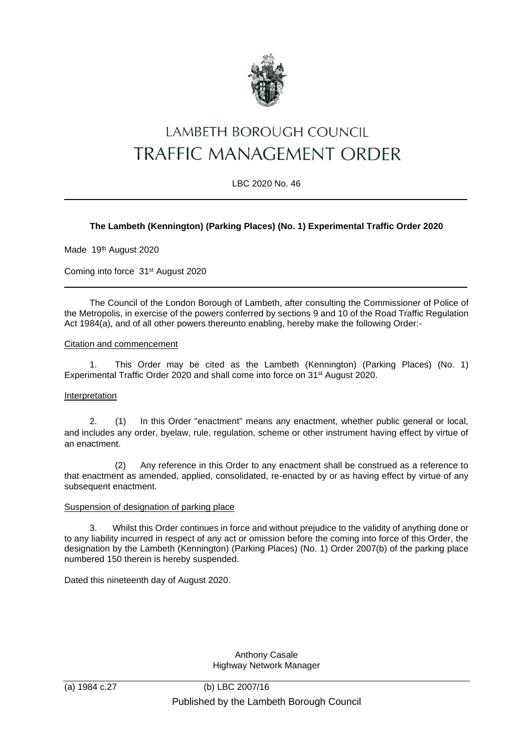

# LAMBETH BOROUGH COUNCIL TRAFFIC MANAGEMENT ORDER

LBC 2020 No. 46

## **The Lambeth (Kennington) (Parking Places) (No. 1) Experimental Traffic Order 2020**

Made 19th August 2020

Coming into force 31st August 2020

The Council of the London Borough of Lambeth, after consulting the Commissioner of Police of the Metropolis, in exercise of the powers conferred by sections 9 and 10 of the Road Traffic Regulation Act 1984(a), and of all other powers thereunto enabling, hereby make the following Order:-

#### Citation and commencement

1. This Order may be cited as the Lambeth (Kennington) (Parking Places) (No. 1) Experimental Traffic Order 2020 and shall come into force on 31<sup>st</sup> August 2020.

#### Interpretation

2. (1) In this Order "enactment" means any enactment, whether public general or local, and includes any order, byelaw, rule, regulation, scheme or other instrument having effect by virtue of an enactment.

(2) Any reference in this Order to any enactment shall be construed as a reference to that enactment as amended, applied, consolidated, re-enacted by or as having effect by virtue of any subsequent enactment.

#### Suspension of designation of parking place

3. Whilst this Order continues in force and without prejudice to the validity of anything done or to any liability incurred in respect of any act or omission before the coming into force of this Order, the designation by the Lambeth (Kennington) (Parking Places) (No. 1) Order 2007(b) of the parking place numbered 150 therein is hereby suspended.

Dated this nineteenth day of August 2020.

Anthony Casale Highway Network Manager